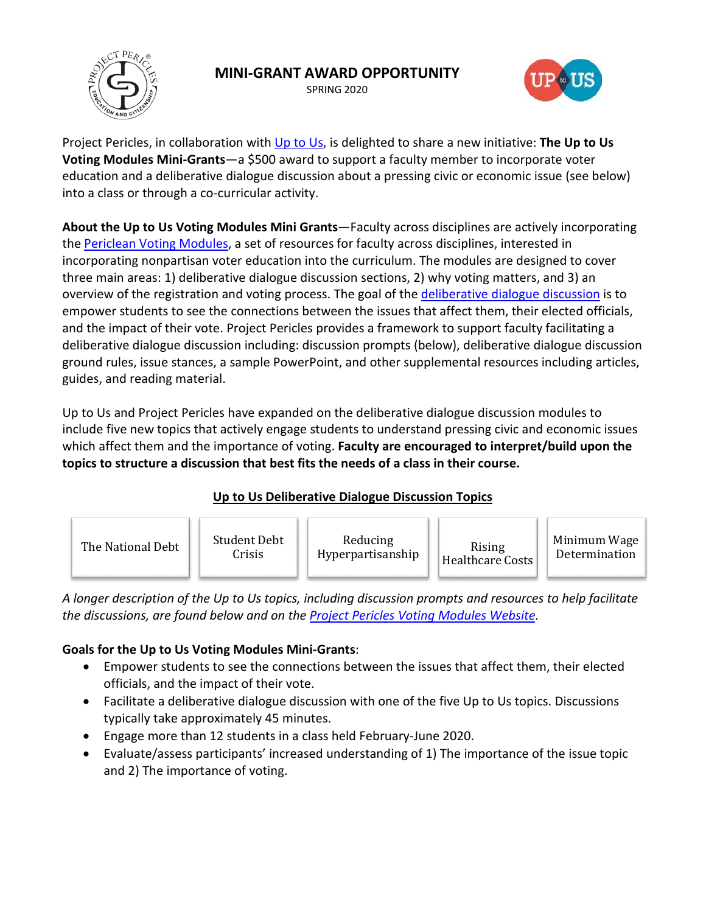

# **MINI-GRANT AWARD OPPORTUNITY**

SPRING 2020



Project Pericles, in collaboration with [Up to Us,](https://www.itsuptous.org/about-us) is delighted to share a new initiative: **The Up to Us Voting Modules Mini-Grants**—a \$500 award to support a faculty member to incorporate voter education and a deliberative dialogue discussion about a pressing civic or economic issue (see below) into a class or through a co-curricular activity.

**About the Up to Us Voting Modules Mini Grants**—Faculty across disciplines are actively incorporating the [Periclean Voting Modules,](https://www.projectpericles.org/voting-modules.html) a set of resources for faculty across disciplines, interested in incorporating nonpartisan voter education into the curriculum. The modules are designed to cover three main areas: 1) deliberative dialogue discussion sections, 2) why voting matters, and 3) an overview of the registration and voting process. The goal of the [deliberative dialogue discussion](https://www.projectpericles.org/uploads/1/2/2/7/122788165/1._deliberative_dialogue_-_faculty_overview.pdf) is to empower students to see the connections between the issues that affect them, their elected officials, and the impact of their vote. Project Pericles provides a framework to support faculty facilitating a deliberative dialogue discussion including: discussion prompts (below), deliberative dialogue discussion ground rules, issue stances, a sample PowerPoint, and other supplemental resources including articles, guides, and reading material.

Up to Us and Project Pericles have expanded on the deliberative dialogue discussion modules to include five new topics that actively engage students to understand pressing civic and economic issues which affect them and the importance of voting. **Faculty are encouraged to interpret/build upon the topics to structure a discussion that best fits the needs of a class in their course.**

# **Up to Us Deliberative Dialogue Discussion Topics**



*A longer description of the Up to Us topics, including discussion prompts and resources to help facilitate the discussions, are found below and on the [Project Pericles Voting Modules Website](https://www.projectpericles.org/voting-modules.html).* 

# **Goals for the Up to Us Voting Modules Mini-Grants**:

- Empower students to see the connections between the issues that affect them, their elected officials, and the impact of their vote.
- Facilitate a deliberative dialogue discussion with one of the five Up to Us topics. Discussions typically take approximately 45 minutes.
- Engage more than 12 students in a class held February-June 2020.
- Evaluate/assess participants' increased understanding of 1) The importance of the issue topic and 2) The importance of voting.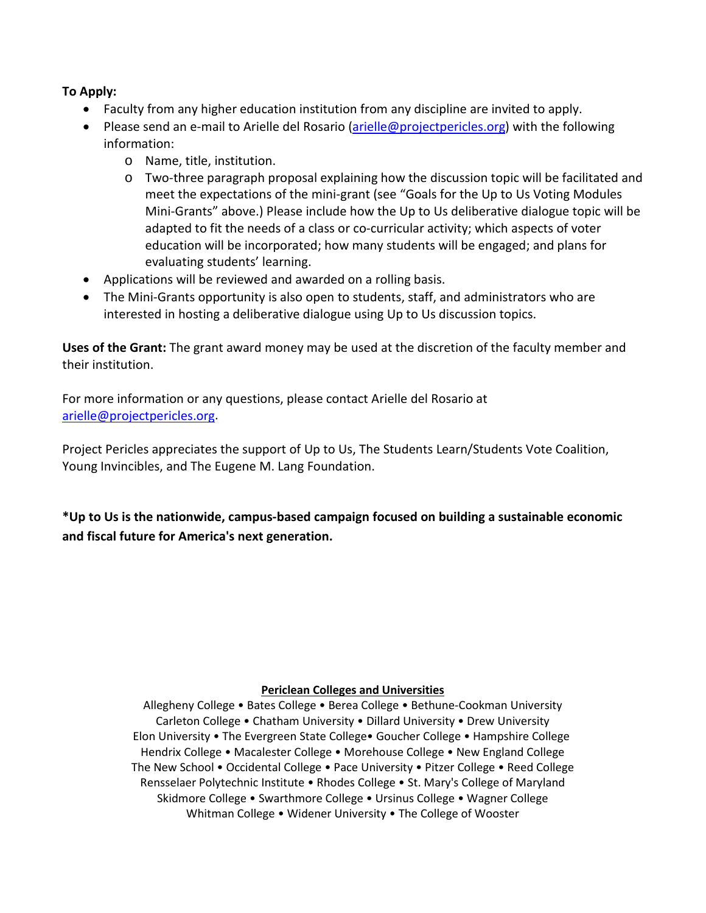## **To Apply:**

- Faculty from any higher education institution from any discipline are invited to apply.
- Please send an e-mail to Arielle del Rosario [\(arielle@projectpericles.org\)](mailto:arielle@projectpericles.org) with the following information:
	- o Name, title, institution.
	- o Two-three paragraph proposal explaining how the discussion topic will be facilitated and meet the expectations of the mini-grant (see "Goals for the Up to Us Voting Modules Mini-Grants" above.) Please include how the Up to Us deliberative dialogue topic will be adapted to fit the needs of a class or co-curricular activity; which aspects of voter education will be incorporated; how many students will be engaged; and plans for evaluating students' learning.
- Applications will be reviewed and awarded on a rolling basis.
- The Mini-Grants opportunity is also open to students, staff, and administrators who are interested in hosting a deliberative dialogue using Up to Us discussion topics.

**Uses of the Grant:** The grant award money may be used at the discretion of the faculty member and their institution.

For more information or any questions, please contact Arielle del Rosario at [arielle@projectpericles.org.](mailto:arielle@projectpericles.org)

Project Pericles appreciates the support of Up to Us, The Students Learn/Students Vote Coalition, Young Invincibles, and The Eugene M. Lang Foundation.

**\*Up to Us is the nationwide, campus-based campaign focused on building a sustainable economic and fiscal future for America's next generation.**

#### **Periclean Colleges and Universities**

Allegheny College • Bates College • Berea College • Bethune-Cookman University Carleton College • Chatham University • Dillard University • Drew University Elon University • The Evergreen State College• Goucher College • Hampshire College Hendrix College • Macalester College • Morehouse College • New England College The New School • Occidental College • Pace University • Pitzer College • Reed College Rensselaer Polytechnic Institute • Rhodes College • St. Mary's College of Maryland Skidmore College • Swarthmore College • Ursinus College • Wagner College Whitman College • Widener University • The College of Wooster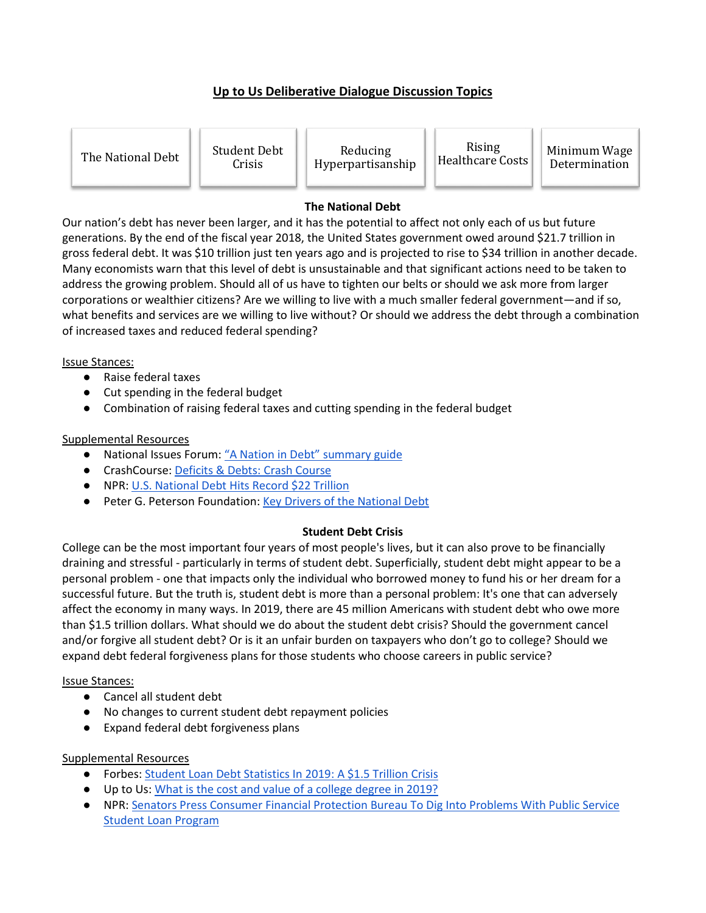# **Up to Us Deliberative Dialogue Discussion Topics**

The National Debt Student Debt

Crisis

Reducing Hyperpartisanship

Rising Kising Minimum Wage<br>Healthcare Costs Determination

Determination

## **The National Debt**

Our nation's debt has never been larger, and it has the potential to affect not only each of us but future generations. By the end of the fiscal year 2018, the United States government owed around \$21.7 trillion in gross federal debt. It was \$10 trillion just ten years ago and is projected to rise to \$34 trillion in another decade. Many economists warn that this level of debt is unsustainable and that significant actions need to be taken to address the growing problem. Should all of us have to tighten our belts or should we ask more from larger corporations or wealthier citizens? Are we willing to live with a much smaller federal government—and if so, what benefits and services are we willing to live without? Or should we address the debt through a combination of increased taxes and reduced federal spending?

### Issue Stances:

- Raise federal taxes
- Cut spending in the federal budget
- Combination of raising federal taxes and cutting spending in the federal budget

## Supplemental Resources

- National Issues Forum[: "A Nation in Debt" summary guide](https://www.dropbox.com/s/v0fu94oguneoif0/NIF_A%20Nation%20in%20Debt_Summary%20Guide.pdf?dl=0)
- CrashCourse[: Deficits & Debts: Crash Course](https://www.youtube.com/watch?v=3sUCSGVYzI0)
- NPR: [U.S. National Debt Hits Rec](https://www.npr.org/2019/02/13/694199256/u-s-national-debt-hits-22-trillion-a-new-record-thats-predicted-to-fall)ord \$22 Trillion
- Peter G. Peterson Foundation: [Key Drivers of the National Debt](https://www.pgpf.org/the-fiscal-and-economic-challenge/drivers)

## **Student Debt Crisis**

College can be the most important four years of most people's lives, but it can also prove to be financially draining and stressful - particularly in terms of student debt. Superficially, student debt might appear to be a personal problem - one that impacts only the individual who borrowed money to fund his or her dream for a successful future. But the truth is, student debt is more than a personal problem: It's one that can adversely affect the economy in many ways. In 2019, there are 45 million Americans with student debt who owe more than \$1.5 trillion dollars. What should we do about the student debt crisis? Should the government cancel and/or forgive all student debt? Or is it an unfair burden on taxpayers who don't go to college? Should we expand debt federal forgiveness plans for those students who choose careers in public service?

## Issue Stances:

- Cancel all student debt
- No changes to current student debt repayment policies
- Expand federal debt forgiveness plans

## Supplemental Resources

- Forbes[: Student Loan Debt Statistics In 2019: A \\$1.5 Trillion Crisis](https://www.forbes.com/sites/zackfriedman/2019/02/25/student-loan-debt-statistics-2019/#418dc9e8133f)
- Up to Us: [What is the cost and value of a college degree in 2019?](https://www.itsuptous.org/blog/what-cost-and-value-college-degree-2019)
- NPR: [Senators Press Consumer Financial Protection Bureau To Dig Into Problems With Public Service](https://www.npr.org/2019/10/17/771021135/senators-press-cfpb-to-dig-into-public-service-loan-forgiveness-problems)  [Student Loan Program](https://www.npr.org/2019/10/17/771021135/senators-press-cfpb-to-dig-into-public-service-loan-forgiveness-problems)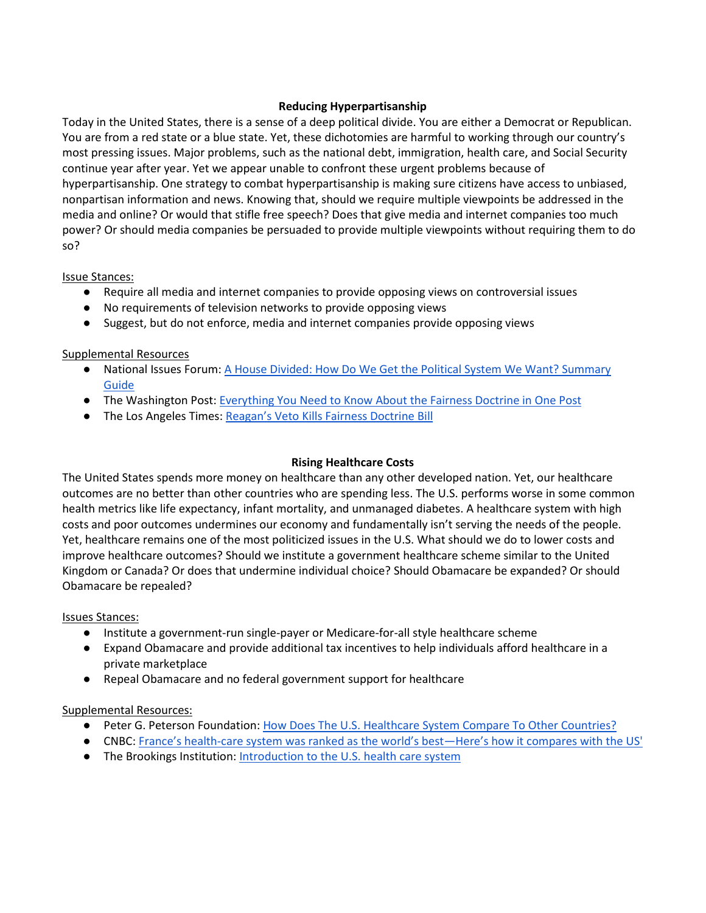### **Reducing Hyperpartisanship**

Today in the United States, there is a sense of a deep political divide. You are either a Democrat or Republican. You are from a red state or a blue state. Yet, these dichotomies are harmful to working through our country's most pressing issues. Major problems, such as the national debt, immigration, health care, and Social Security continue year after year. Yet we appear unable to confront these urgent problems because of hyperpartisanship. One strategy to combat hyperpartisanship is making sure citizens have access to unbiased, nonpartisan information and news. Knowing that, should we require multiple viewpoints be addressed in the media and online? Or would that stifle free speech? Does that give media and internet companies too much power? Or should media companies be persuaded to provide multiple viewpoints without requiring them to do so?

#### Issue Stances:

- Require all media and internet companies to provide opposing views on controversial issues
- No requirements of television networks to provide opposing views
- Suggest, but do not enforce, media and internet companies provide opposing views

### Supplemental Resources

- National Issues Forum: [A House Divided: How Do We Get the Political System We Want? Summary](https://www.dropbox.com/s/uso8lbb3ag0iu5l/NIF_A%20House%20Divided_Issue%20advisory.pdf?dl=0)  [Guide](https://www.dropbox.com/s/uso8lbb3ag0iu5l/NIF_A%20House%20Divided_Issue%20advisory.pdf?dl=0)
- The Washington Post[: Everything You Need to Know About the Fairness Doctrine in One Post](https://www.washingtonpost.com/blogs/ezra-klein/post/everything-you-need-to-know-about-the-fairness-doctrine-in-one-post/2011/08/23/gIQAN8CXZJ_blog.html)
- **•** The Los Angeles Times: [Reagan's Veto Kills Fairness Doctrine Bill](https://www.latimes.com/archives/la-xpm-1987-06-21-mn-8908-story.html)

### **Rising Healthcare Costs**

The United States spends more money on healthcare than any other developed nation. Yet, our healthcare outcomes are no better than other countries who are spending less. The U.S. performs worse in some common health metrics like life expectancy, infant mortality, and unmanaged diabetes. A healthcare system with high costs and poor outcomes undermines our economy and fundamentally isn't serving the needs of the people. Yet, healthcare remains one of the most politicized issues in the U.S. What should we do to lower costs and improve healthcare outcomes? Should we institute a government healthcare scheme similar to the United Kingdom or Canada? Or does that undermine individual choice? Should Obamacare be expanded? Or should Obamacare be repealed?

#### Issues Stances:

- Institute a government-run single-payer or Medicare-for-all style healthcare scheme
- Expand Obamacare and provide additional tax incentives to help individuals afford healthcare in a private marketplace
- Repeal Obamacare and no federal government support for healthcare

#### Supplemental Resources:

- Peter G. Peterson Foundation: [How Does The U.S. Healthcare System Compare To Other Countries?](https://www.pgpf.org/blog/2019/07/how-does-the-us-healthcare-system-compare-to-other-countries)
- CNBC: [France's health-care system was ranked as the world's best—](https://www.cnbc.com/2019/05/17/france-versus-the-united-states-how-the-two-nations-health-care-systems-compare.html)Here's how it compares with the US'
- The Brookings Institution[: Introduction to the U.S. health care system](https://www.khanacademy.org/partner-content/brookings-institution/introduction-to-healthcare/v/introduction-to-health-care)